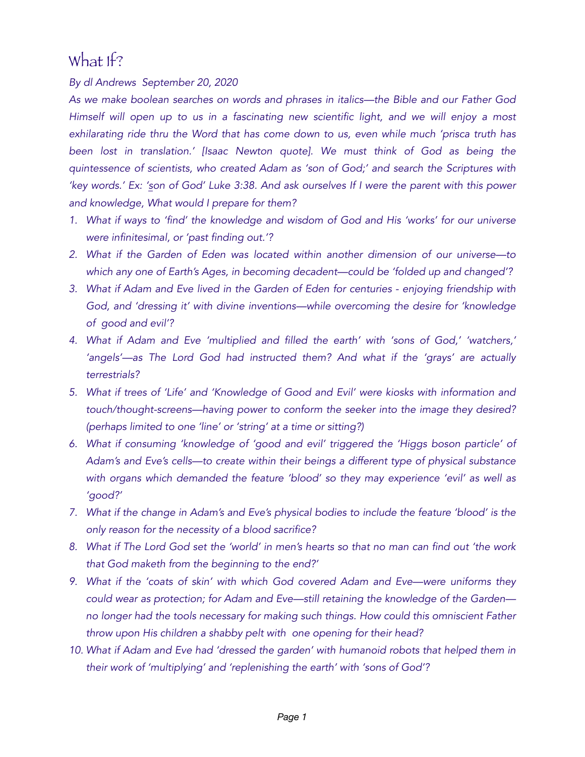## What If?

*By dl Andrews September 20, 2020* 

*As we make boolean searches on words and phrases in italics—the Bible and our Father God Himself will open up to us in a fascinating new scientific light, and we will enjoy a most exhilarating ride thru the Word that has come down to us, even while much 'prisca truth has been lost in translation.' [Isaac Newton quote]. We must think of God as being the quintessence of scientists, who created Adam as 'son of God;' and search the Scriptures with 'key words.' Ex: 'son of God' Luke 3:38. And ask ourselves If I were the parent with this power and knowledge, What would I prepare for them?* 

- *1. What if ways to 'find' the knowledge and wisdom of God and His 'works' for our universe were infinitesimal, or 'past finding out.'?*
- *2. What if the Garden of Eden was located within another dimension of our universe—to which any one of Earth's Ages, in becoming decadent—could be 'folded up and changed'?*
- *3. What if Adam and Eve lived in the Garden of Eden for centuries enjoying friendship with God, and 'dressing it' with divine inventions—while overcoming the desire for 'knowledge of good and evil'?*
- *4. What if Adam and Eve 'multiplied and filled the earth' with 'sons of God,' 'watchers,' 'angels'—as The Lord God had instructed them? And what if the 'grays' are actually terrestrials?*
- *5. What if trees of 'Life' and 'Knowledge of Good and Evil' were kiosks with information and touch/thought-screens—having power to conform the seeker into the image they desired? (perhaps limited to one 'line' or 'string' at a time or sitting?)*
- *6. What if consuming 'knowledge of 'good and evil' triggered the 'Higgs boson particle' of Adam's and Eve's cells—to create within their beings a different type of physical substance with organs which demanded the feature 'blood' so they may experience 'evil' as well as 'good?'*
- *7. What if the change in Adam's and Eve's physical bodies to include the feature 'blood' is the only reason for the necessity of a blood sacrifice?*
- *8. What if The Lord God set the 'world' in men's hearts so that no man can find out 'the work that God maketh from the beginning to the end?'*
- *9. What if the 'coats of skin' with which God covered Adam and Eve—were uniforms they could wear as protection; for Adam and Eve—still retaining the knowledge of the Garden no longer had the tools necessary for making such things. How could this omniscient Father throw upon His children a shabby pelt with one opening for their head?*
- 10. What if Adam and Eve had 'dressed the garden' with humanoid robots that helped them in *their work of 'multiplying' and 'replenishing the earth' with 'sons of God'?*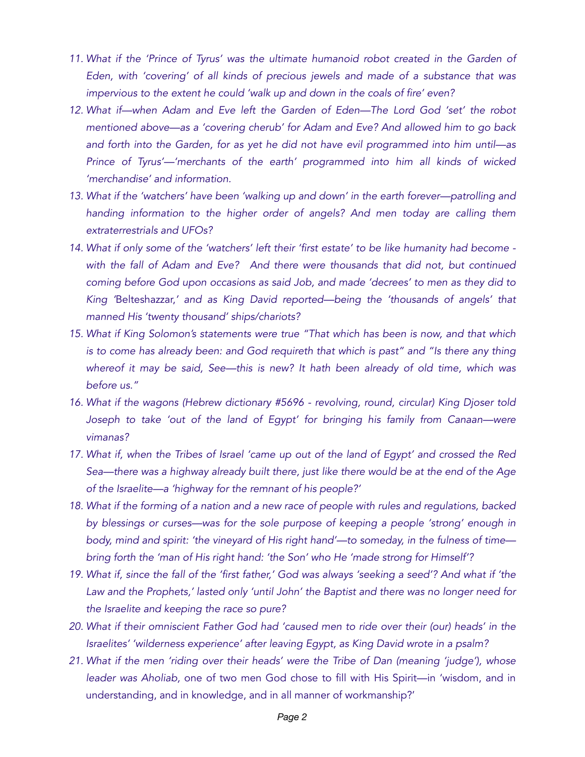- *11. What if the 'Prince of Tyrus' was the ultimate humanoid robot created in the Garden of Eden, with 'covering' of all kinds of precious jewels and made of a substance that was impervious to the extent he could 'walk up and down in the coals of fire' even?*
- *12. What if—when Adam and Eve left the Garden of Eden—The Lord God 'set' the robot mentioned above—as a 'covering cherub' for Adam and Eve? And allowed him to go back and forth into the Garden, for as yet he did not have evil programmed into him until—as Prince of Tyrus'—'merchants of the earth' programmed into him all kinds of wicked 'merchandise' and information.*
- *13. What if the 'watchers' have been 'walking up and down' in the earth forever—patrolling and handing information to the higher order of angels? And men today are calling them extraterrestrials and UFOs?*
- *14. What if only some of the 'watchers' left their 'first estate' to be like humanity had become with the fall of Adam and Eve? And there were thousands that did not, but continued coming before God upon occasions as said Job, and made 'decrees' to men as they did to King '*Belteshazzar,*' and as King David reported—being the 'thousands of angels' that manned His 'twenty thousand' ships/chariots?*
- *15. What if King Solomon's statements were true "That which has been is now, and that which is to come has already been: and God requireth that which is past" and "Is there any thing whereof it may be said, See—this is new? It hath been already of old time, which was before us."*
- *16. What if the wagons (Hebrew dictionary #5696 revolving, round, circular) King Djoser told*  Joseph to take 'out of the land of Egypt' for bringing his family from Canaan-were *vimanas?*
- *17. What if, when the Tribes of Israel 'came up out of the land of Egypt' and crossed the Red Sea—there was a highway already built there, just like there would be at the end of the Age of the Israelite—a 'highway for the remnant of his people?'*
- *18. What if the forming of a nation and a new race of people with rules and regulations, backed by blessings or curses—was for the sole purpose of keeping a people 'strong' enough in body, mind and spirit: 'the vineyard of His right hand'—to someday, in the fulness of time bring forth the 'man of His right hand: 'the Son' who He 'made strong for Himself'?*
- *19. What if, since the fall of the 'first father,' God was always 'seeking a seed'? And what if 'the Law and the Prophets,' lasted only 'until John' the Baptist and there was no longer need for the Israelite and keeping the race so pure?*
- *20. What if their omniscient Father God had 'caused men to ride over their (our) heads' in the Israelites' 'wilderness experience' after leaving Egypt, as King David wrote in a psalm?*
- *21. What if the men 'riding over their heads' were the Tribe of Dan (meaning 'judge'), whose leader was Aholiab,* one of two men God chose to fill with His Spirit—in 'wisdom, and in understanding, and in knowledge, and in all manner of workmanship?'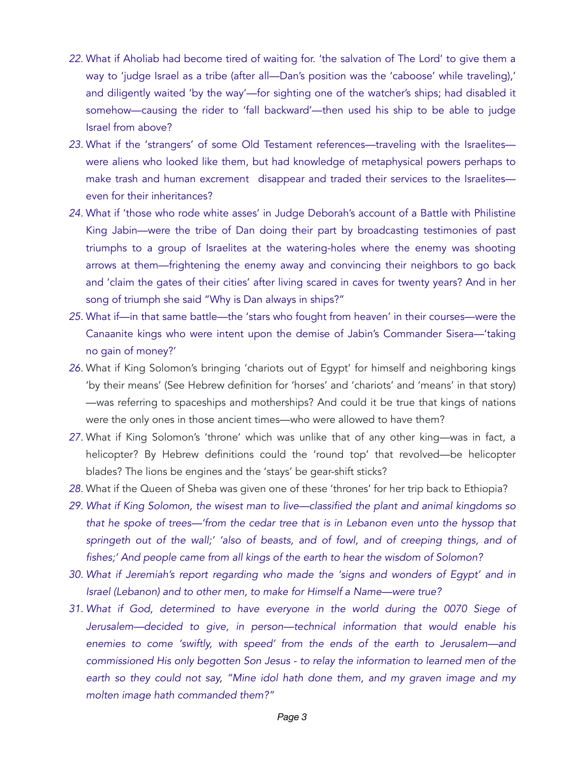- *22.* What if Aholiab had become tired of waiting for. 'the salvation of The Lord' to give them a way to 'judge Israel as a tribe (after all—Dan's position was the 'caboose' while traveling),' and diligently waited 'by the way'—for sighting one of the watcher's ships; had disabled it somehow—causing the rider to 'fall backward'—then used his ship to be able to judge Israel from above?
- *23.* What if the 'strangers' of some Old Testament references—traveling with the Israelites were aliens who looked like them, but had knowledge of metaphysical powers perhaps to make trash and human excrement disappear and traded their services to the Israelites even for their inheritances?
- *24.* What if 'those who rode white asses' in Judge Deborah's account of a Battle with Philistine King Jabin—were the tribe of Dan doing their part by broadcasting testimonies of past triumphs to a group of Israelites at the watering-holes where the enemy was shooting arrows at them—frightening the enemy away and convincing their neighbors to go back and 'claim the gates of their cities' after living scared in caves for twenty years? And in her song of triumph she said "Why is Dan always in ships?"
- *25.* What if—in that same battle—the 'stars who fought from heaven' in their courses—were the Canaanite kings who were intent upon the demise of Jabin's Commander Sisera—'taking no gain of money?'
- *26.* What if King Solomon's bringing 'chariots out of Egypt' for himself and neighboring kings 'by their means' (See Hebrew definition for 'horses' and 'chariots' and 'means' in that story) —was referring to spaceships and motherships? And could it be true that kings of nations were the only ones in those ancient times—who were allowed to have them?
- *27.* What if King Solomon's 'throne' which was unlike that of any other king—was in fact, a helicopter? By Hebrew definitions could the 'round top' that revolved—be helicopter blades? The lions be engines and the 'stays' be gear-shift sticks?
- *28.* What if the Queen of Sheba was given one of these 'thrones' for her trip back to Ethiopia?
- *29. What if King Solomon, the wisest man to live—classified the plant and animal kingdoms so that he spoke of trees—'from the cedar tree that is in Lebanon even unto the hyssop that springeth out of the wall;' 'also of beasts, and of fowl, and of creeping things, and of fishes;' And people came from all kings of the earth to hear the wisdom of Solomon?*
- *30. What if Jeremiah's report regarding who made the 'signs and wonders of Egypt' and in Israel (Lebanon) and to other men, to make for Himself a Name—were true?*
- *31. What if God, determined to have everyone in the world during the 0070 Siege of Jerusalem—decided to give, in person—technical information that would enable his enemies to come 'swiftly, with speed' from the ends of the earth to Jerusalem—and commissioned His only begotten Son Jesus - to relay the information to learned men of the earth so they could not say, "Mine idol hath done them, and my graven image and my molten image hath commanded them?"*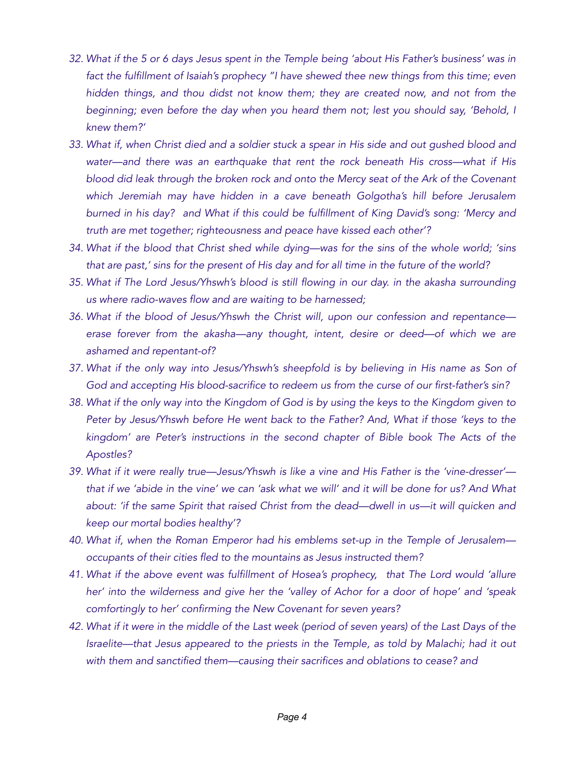- *32. What if the 5 or 6 days Jesus spent in the Temple being 'about His Father's business' was in*  fact the fulfillment of Isaiah's prophecy "I have shewed thee new things from this time; even *hidden things, and thou didst not know them; they are created now, and not from the beginning; even before the day when you heard them not; lest you should say, 'Behold, I knew them?'*
- *33. What if, when Christ died and a soldier stuck a spear in His side and out gushed blood and water—and there was an earthquake that rent the rock beneath His cross—what if His blood did leak through the broken rock and onto the Mercy seat of the Ark of the Covenant which Jeremiah may have hidden in a cave beneath Golgotha's hill before Jerusalem burned in his day? and What if this could be fulfillment of King David's song: 'Mercy and truth are met together; righteousness and peace have kissed each other'?*
- *34. What if the blood that Christ shed while dying—was for the sins of the whole world; 'sins that are past,' sins for the present of His day and for all time in the future of the world?*
- *35. What if The Lord Jesus/Yhswh's blood is still flowing in our day. in the akasha surrounding us where radio-waves flow and are waiting to be harnessed;*
- *36. What if the blood of Jesus/Yhswh the Christ will, upon our confession and repentance erase forever from the akasha—any thought, intent, desire or deed—of which we are ashamed and repentant-of?*
- *37. What if the only way into Jesus/Yhswh's sheepfold is by believing in His name as Son of God and accepting His blood-sacrifice to redeem us from the curse of our first-father's sin?*
- *38. What if the only way into the Kingdom of God is by using the keys to the Kingdom given to Peter by Jesus/Yhswh before He went back to the Father? And, What if those 'keys to the kingdom' are Peter's instructions in the second chapter of Bible book The Acts of the Apostles?*
- *39. What if it were really true—Jesus/Yhswh is like a vine and His Father is the 'vine-dresser' that if we 'abide in the vine' we can 'ask what we will' and it will be done for us? And What about: 'if the same Spirit that raised Christ from the dead—dwell in us—it will quicken and keep our mortal bodies healthy'?*
- *40. What if, when the Roman Emperor had his emblems set-up in the Temple of Jerusalem occupants of their cities fled to the mountains as Jesus instructed them?*
- *41. What if the above event was fulfillment of Hosea's prophecy, that The Lord would 'allure her' into the wilderness and give her the 'valley of Achor for a door of hope' and 'speak comfortingly to her' confirming the New Covenant for seven years?*
- *42. What if it were in the middle of the Last week (period of seven years) of the Last Days of the Israelite—that Jesus appeared to the priests in the Temple, as told by Malachi; had it out*  with them and sanctified them—causing their sacrifices and oblations to cease? and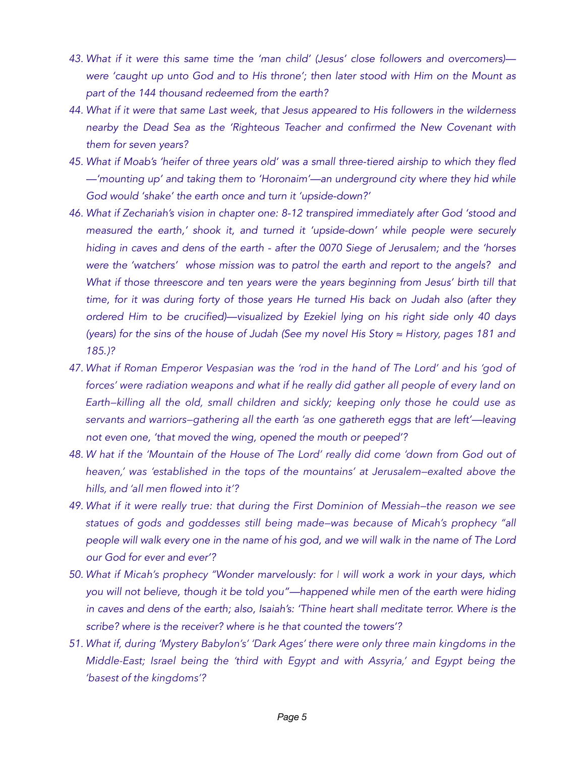- *43. What if it were this same time the 'man child' (Jesus' close followers and overcomers) were 'caught up unto God and to His throne'; then later stood with Him on the Mount as part of the 144 thousand redeemed from the earth?*
- *44. What if it were that same Last week, that Jesus appeared to His followers in the wilderness nearby the Dead Sea as the 'Righteous Teacher and confirmed the New Covenant with them for seven years?*
- *45. What if Moab's 'heifer of three years old' was a small three-tiered airship to which they fled —'mounting up' and taking them to 'Horonaim'—an underground city where they hid while God would 'shake' the earth once and turn it 'upside-down?'*
- *46. What if Zechariah's vision in chapter one: 8-12 transpired immediately after God 'stood and measured the earth,' shook it, and turned it 'upside-down' while people were securely hiding in caves and dens of the earth - after the 0070 Siege of Jerusalem; and the 'horses were the 'watchers' whose mission was to patrol the earth and report to the angels? and What if those threescore and ten years were the years beginning from Jesus' birth till that time, for it was during forty of those years He turned His back on Judah also (after they ordered Him to be crucified)—visualized by Ezekiel lying on his right side only 40 days (years) for the sins of the house of Judah (See my novel His Story ≈ History, pages 181 and 185.)?*
- *47. What if Roman Emperor Vespasian was the 'rod in the hand of The Lord' and his 'god of forces' were radiation weapons and what if he really did gather all people of every land on Earth—killing all the old, small children and sickly; keeping only those he could use as servants and warriors—gathering all the earth 'as one gathereth eggs that are left'—leaving not even one, 'that moved the wing, opened the mouth or peeped'?*
- *48. W hat if the 'Mountain of the House of The Lord' really did come 'down from God out of heaven,' was 'established in the tops of the mountains' at Jerusalem—exalted above the hills, and 'all men flowed into it'?*
- *49. What if it were really true: that during the First Dominion of Messiah—the reason we see statues of gods and goddesses still being made—was because of Micah's prophecy "all people will walk every one in the name of his god, and we will walk in the name of The Lord our God for ever and ever'?*
- *50. What if Micah's prophecy "Wonder marvelously: for I will work a work in your days, which you will not believe, though it be told you"—happened while men of the earth were hiding*  in caves and dens of the earth; also, Isaiah's: 'Thine heart shall meditate terror. Where is the *scribe? where is the receiver? where is he that counted the towers'?*
- *51. What if, during 'Mystery Babylon's' 'Dark Ages' there were only three main kingdoms in the Middle-East; Israel being the 'third with Egypt and with Assyria,' and Egypt being the 'basest of the kingdoms'?*